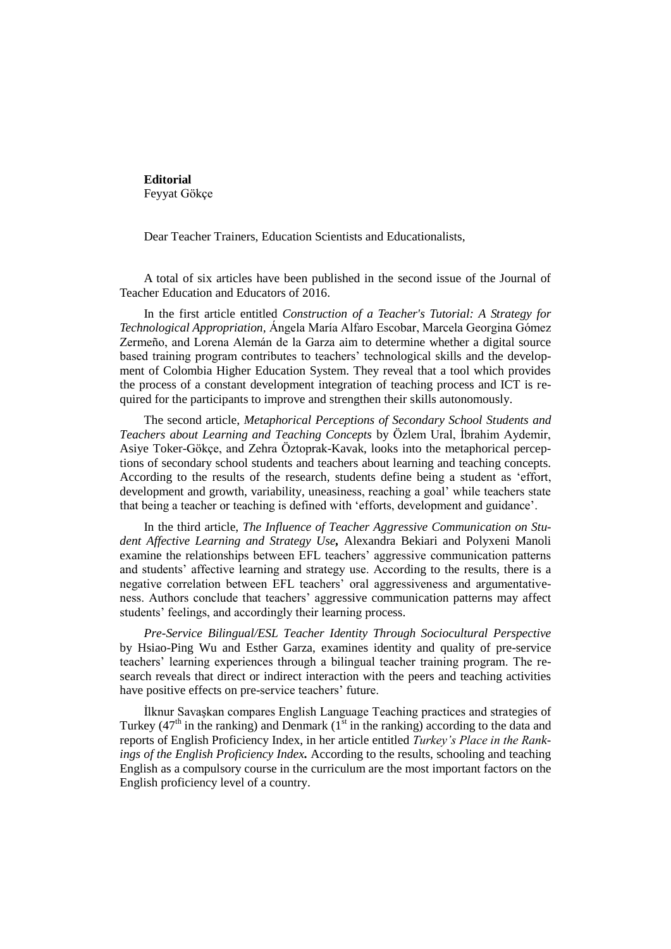**Editorial** Feyyat Gökçe

Dear Teacher Trainers, Education Scientists and Educationalists,

A total of six articles have been published in the second issue of the Journal of Teacher Education and Educators of 2016.

In the first article entitled *Construction of a Teacher's Tutorial: A Strategy for Technological Appropriation,* Ángela María Alfaro Escobar, Marcela Georgina Gómez Zermeño, and Lorena Alemán de la Garza aim to determine whether a digital source based training program contributes to teachers' technological skills and the development of Colombia Higher Education System. They reveal that a tool which provides the process of a constant development integration of teaching process and ICT is required for the participants to improve and strengthen their skills autonomously.

The second article, *Metaphorical Perceptions of Secondary School Students and Teachers about Learning and Teaching Concepts* by Özlem Ural, İbrahim Aydemir, Asiye Toker-Gökçe, and Zehra Öztoprak-Kavak, looks into the metaphorical perceptions of secondary school students and teachers about learning and teaching concepts. According to the results of the research, students define being a student as 'effort, development and growth, variability, uneasiness, reaching a goal' while teachers state that being a teacher or teaching is defined with 'efforts, development and guidance'.

In the third article, *The Influence of Teacher Aggressive Communication on Student Affective Learning and Strategy Use,* Alexandra Bekiari and Polyxeni Manoli examine the relationships between EFL teachers' aggressive communication patterns and students' affective learning and strategy use. According to the results, there is a negative correlation between EFL teachers' oral aggressiveness and argumentativeness. Authors conclude that teachers' aggressive communication patterns may affect students' feelings, and accordingly their learning process.

*Pre-Service Bilingual/ESL Teacher Identity Through Sociocultural Perspective* by Hsiao-Ping Wu and Esther Garza, examines identity and quality of pre-service teachers' learning experiences through a bilingual teacher training program. The research reveals that direct or indirect interaction with the peers and teaching activities have positive effects on pre-service teachers' future.

İlknur Savaşkan compares English Language Teaching practices and strategies of Turkey ( $47<sup>th</sup>$  in the ranking) and Denmark ( $1<sup>st</sup>$  in the ranking) according to the data and reports of English Proficiency Index, in her article entitled *Turkey's Place in the Rankings of the English Proficiency Index.* According to the results, schooling and teaching English as a compulsory course in the curriculum are the most important factors on the English proficiency level of a country.